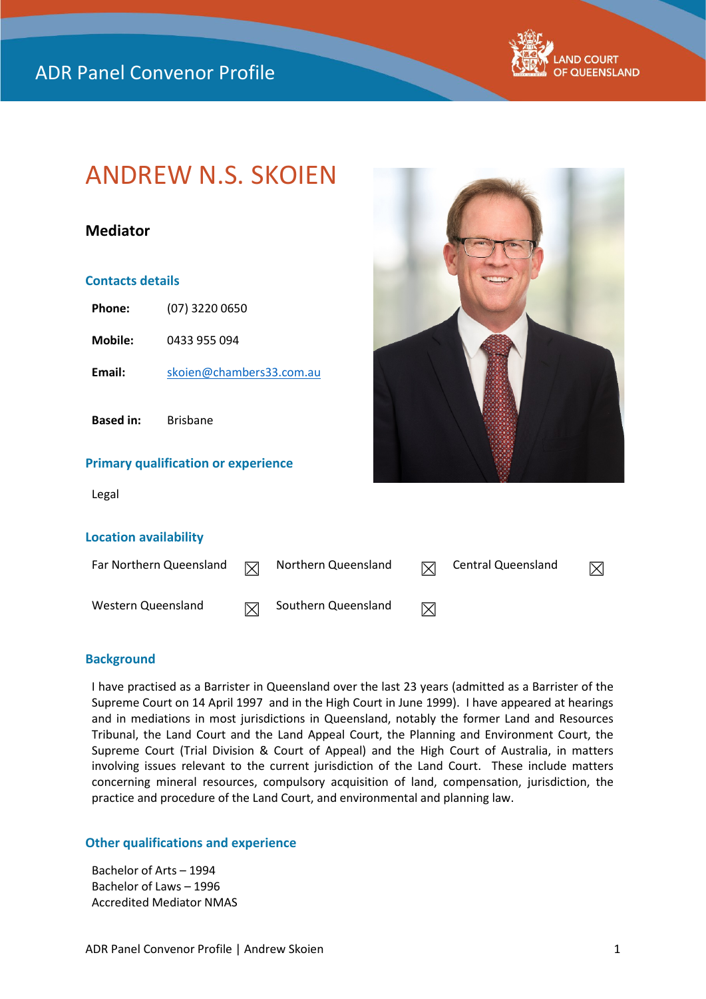

# ANDREW N.S. SKOIEN

## **Mediator**

#### **Contacts details**

| Phone:           | (07) 3220 0650                             |
|------------------|--------------------------------------------|
| Mobile:          | 0433 955 094                               |
| Email:           | skoien@chambers33.com.au                   |
| <b>Based in:</b> | <b>Brisbane</b>                            |
|                  | <b>Primary qualification or experience</b> |
| Legal            |                                            |
|                  |                                            |



#### **Location availability**

| Far Northern Queensland | ⊠ | Northern Queensland |   | <b>Central Queensland</b> | $\boxtimes$ |
|-------------------------|---|---------------------|---|---------------------------|-------------|
| Western Queensland      |   | Southern Queensland | ⋉ |                           |             |

#### **Background**

I have practised as a Barrister in Queensland over the last 23 years (admitted as a Barrister of the Supreme Court on 14 April 1997 and in the High Court in June 1999). I have appeared at hearings and in mediations in most jurisdictions in Queensland, notably the former Land and Resources Tribunal, the Land Court and the Land Appeal Court, the Planning and Environment Court, the Supreme Court (Trial Division & Court of Appeal) and the High Court of Australia, in matters involving issues relevant to the current jurisdiction of the Land Court. These include matters concerning mineral resources, compulsory acquisition of land, compensation, jurisdiction, the practice and procedure of the Land Court, and environmental and planning law.

#### **Other qualifications and experience**

Bachelor of Arts – 1994 Bachelor of Laws – 1996 Accredited Mediator NMAS